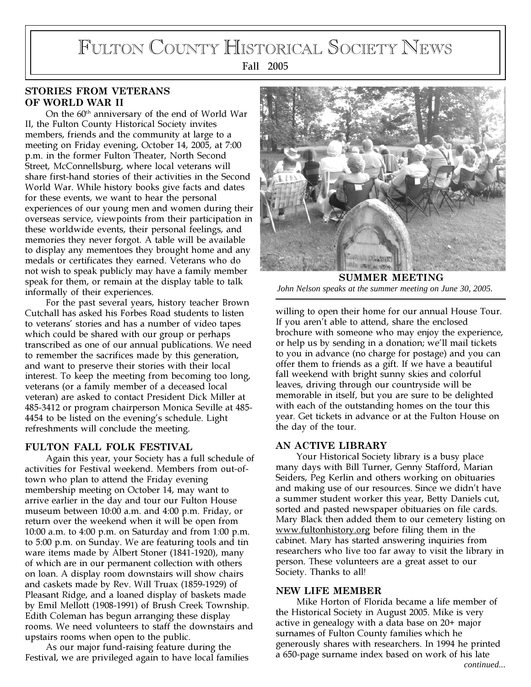# FULTON COUNTY HISTORICAL SOCIETY NEWS

Fall 2005

## STORIES FROM VETERANS OF WORLD WAR II

On the 60<sup>th</sup> anniversary of the end of World War II, the Fulton County Historical Society invites members, friends and the community at large to a meeting on Friday evening, October 14, 2005, at 7:00 p.m. in the former Fulton Theater, North Second Street, McConnellsburg, where local veterans will share first-hand stories of their activities in the Second World War. While history books give facts and dates for these events, we want to hear the personal experiences of our young men and women during their overseas service, viewpoints from their participation in these worldwide events, their personal feelings, and memories they never forgot. A table will be available to display any mementoes they brought home and any medals or certificates they earned. Veterans who do not wish to speak publicly may have a family member speak for them, or remain at the display table to talk informally of their experiences.

For the past several years, history teacher Brown Cutchall has asked his Forbes Road students to listen to veterans' stories and has a number of video tapes which could be shared with our group or perhaps transcribed as one of our annual publications. We need to remember the sacrifices made by this generation, and want to preserve their stories with their local interest. To keep the meeting from becoming too long, veterans (or a family member of a deceased local veteran) are asked to contact President Dick Miller at 485-3412 or program chairperson Monica Seville at 485- 4454 to be listed on the evening's schedule. Light refreshments will conclude the meeting.

### FULTON FALL FOLK FESTIVAL

Again this year, your Society has a full schedule of activities for Festival weekend. Members from out-oftown who plan to attend the Friday evening membership meeting on October 14, may want to arrive earlier in the day and tour our Fulton House museum between 10:00 a.m. and 4:00 p.m. Friday, or return over the weekend when it will be open from 10:00 a.m. to 4:00 p.m. on Saturday and from 1:00 p.m. to 5:00 p.m. on Sunday. We are featuring tools and tin ware items made by Albert Stoner (1841-1920), many of which are in our permanent collection with others on loan. A display room downstairs will show chairs and caskets made by Rev. Will Truax (1859-1929) of Pleasant Ridge, and a loaned display of baskets made by Emil Mellott (1908-1991) of Brush Creek Township. Edith Coleman has begun arranging these display rooms. We need volunteers to staff the downstairs and upstairs rooms when open to the public.

As our major fund-raising feature during the Festival, we are privileged again to have local families



SUMMER MEETING *John Nelson speaks at the summer meeting on June 30, 2005.*

willing to open their home for our annual House Tour. If you aren't able to attend, share the enclosed brochure with someone who may enjoy the experience, or help us by sending in a donation; we'll mail tickets to you in advance (no charge for postage) and you can offer them to friends as a gift. If we have a beautiful fall weekend with bright sunny skies and colorful leaves, driving through our countryside will be memorable in itself, but you are sure to be delighted with each of the outstanding homes on the tour this year. Get tickets in advance or at the Fulton House on the day of the tour.

### AN ACTIVE LIBRARY

Your Historical Society library is a busy place many days with Bill Turner, Genny Stafford, Marian Seiders, Peg Kerlin and others working on obituaries and making use of our resources. Since we didn't have a summer student worker this year, Betty Daniels cut, sorted and pasted newspaper obituaries on file cards. Mary Black then added them to our cemetery listing on www.fultonhistory.org before filing them in the cabinet. Mary has started answering inquiries from researchers who live too far away to visit the library in person. These volunteers are a great asset to our Society. Thanks to all!

#### NEW LIFE MEMBER

Mike Horton of Florida became a life member of the Historical Society in August 2005. Mike is very active in genealogy with a data base on 20+ major surnames of Fulton County families which he generously shares with researchers. In 1994 he printed a 650-page surname index based on work of his late *continued...*